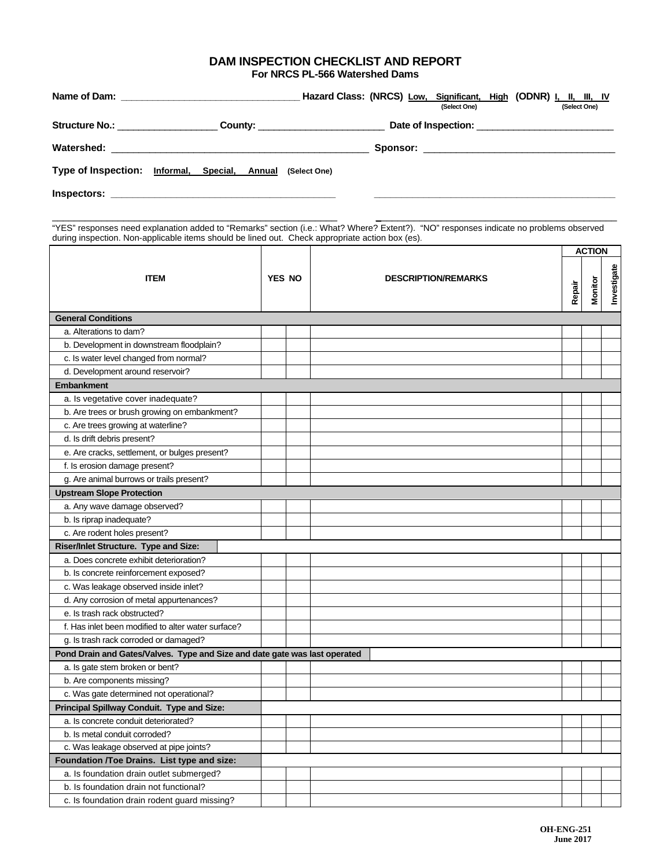## **DAM INSPECTION CHECKLIST AND REPORT For NRCS PL-566 Watershed Dams**

|                                    |                                                            |                                     | (Select One) | Hazard Class: (NRCS) Low, Significant, High (ODNR) I, II, III, IV<br>(Select One) |
|------------------------------------|------------------------------------------------------------|-------------------------------------|--------------|-----------------------------------------------------------------------------------|
| Structure No.: ___________________ |                                                            | _ County: _________________________ |              |                                                                                   |
|                                    |                                                            |                                     |              |                                                                                   |
|                                    | Type of Inspection: Informal, Special, Annual (Select One) |                                     |              |                                                                                   |
| Inspectors:                        |                                                            |                                     |              |                                                                                   |

"YES" responses need explanation added to "Remarks" section (i.e.: What? Where? Extent?). "NO" responses indicate no problems observed during inspection. Non-applicable items should be lined out. Check appropriate action box (es).

\_\_\_\_\_\_\_\_\_\_\_\_\_\_\_\_\_\_\_\_\_\_\_\_\_\_\_\_\_\_\_\_\_\_\_\_\_\_\_\_\_\_\_\_\_\_\_\_\_\_\_\_\_\_\_\_\_\_\_\_\_\_\_\_\_\_\_\_\_\_\_\_\_\_\_\_\_\_\_\_\_\_\_\_\_\_\_\_\_\_\_\_\_\_\_\_

| <b>ITEM</b>                                                                |  |               | <b>DESCRIPTION/REMARKS</b> |  | <b>ACTION</b>  |             |  |
|----------------------------------------------------------------------------|--|---------------|----------------------------|--|----------------|-------------|--|
|                                                                            |  | <b>YES NO</b> |                            |  | <b>Monitor</b> | Investigate |  |
| <b>General Conditions</b>                                                  |  |               |                            |  |                |             |  |
| a. Alterations to dam?                                                     |  |               |                            |  |                |             |  |
| b. Development in downstream floodplain?                                   |  |               |                            |  |                |             |  |
| c. Is water level changed from normal?                                     |  |               |                            |  |                |             |  |
| d. Development around reservoir?                                           |  |               |                            |  |                |             |  |
| <b>Embankment</b>                                                          |  |               |                            |  |                |             |  |
| a. Is vegetative cover inadequate?                                         |  |               |                            |  |                |             |  |
| b. Are trees or brush growing on embankment?                               |  |               |                            |  |                |             |  |
| c. Are trees growing at waterline?                                         |  |               |                            |  |                |             |  |
| d. Is drift debris present?                                                |  |               |                            |  |                |             |  |
| e. Are cracks, settlement, or bulges present?                              |  |               |                            |  |                |             |  |
| f. Is erosion damage present?                                              |  |               |                            |  |                |             |  |
| g. Are animal burrows or trails present?                                   |  |               |                            |  |                |             |  |
| <b>Upstream Slope Protection</b>                                           |  |               |                            |  |                |             |  |
| a. Any wave damage observed?                                               |  |               |                            |  |                |             |  |
| b. Is riprap inadequate?                                                   |  |               |                            |  |                |             |  |
| c. Are rodent holes present?                                               |  |               |                            |  |                |             |  |
| Riser/Inlet Structure. Type and Size:                                      |  |               |                            |  |                |             |  |
| a. Does concrete exhibit deterioration?                                    |  |               |                            |  |                |             |  |
| b. Is concrete reinforcement exposed?                                      |  |               |                            |  |                |             |  |
| c. Was leakage observed inside inlet?                                      |  |               |                            |  |                |             |  |
| d. Any corrosion of metal appurtenances?                                   |  |               |                            |  |                |             |  |
| e. Is trash rack obstructed?                                               |  |               |                            |  |                |             |  |
| f. Has inlet been modified to alter water surface?                         |  |               |                            |  |                |             |  |
| g. Is trash rack corroded or damaged?                                      |  |               |                            |  |                |             |  |
| Pond Drain and Gates/Valves. Type and Size and date gate was last operated |  |               |                            |  |                |             |  |
| a. Is gate stem broken or bent?                                            |  |               |                            |  |                |             |  |
| b. Are components missing?                                                 |  |               |                            |  |                |             |  |
| c. Was gate determined not operational?                                    |  |               |                            |  |                |             |  |
| Principal Spillway Conduit. Type and Size:                                 |  |               |                            |  |                |             |  |
| a. Is concrete conduit deteriorated?                                       |  |               |                            |  |                |             |  |
| b. Is metal conduit corroded?                                              |  |               |                            |  |                |             |  |
| c. Was leakage observed at pipe joints?                                    |  |               |                            |  |                |             |  |
| Foundation /Toe Drains. List type and size:                                |  |               |                            |  |                |             |  |
| a. Is foundation drain outlet submerged?                                   |  |               |                            |  |                |             |  |
| b. Is foundation drain not functional?                                     |  |               |                            |  |                |             |  |
| c. Is foundation drain rodent guard missing?                               |  |               |                            |  |                |             |  |